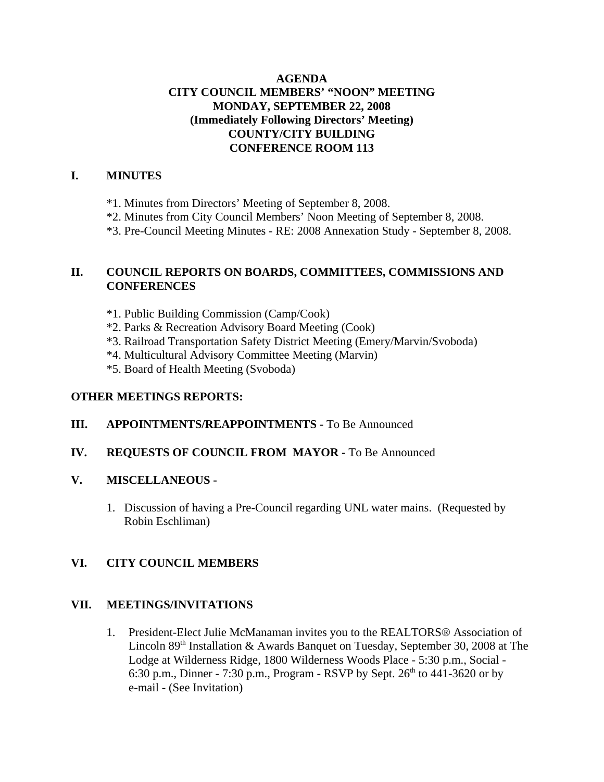## **AGENDA CITY COUNCIL MEMBERS' "NOON" MEETING MONDAY, SEPTEMBER 22, 2008 (Immediately Following Directors' Meeting) COUNTY/CITY BUILDING CONFERENCE ROOM 113**

#### **I. MINUTES**

- \*1. Minutes from Directors' Meeting of September 8, 2008.
- \*2. Minutes from City Council Members' Noon Meeting of September 8, 2008.
- \*3. Pre-Council Meeting Minutes RE: 2008 Annexation Study September 8, 2008.

## **II. COUNCIL REPORTS ON BOARDS, COMMITTEES, COMMISSIONS AND CONFERENCES**

- \*1. Public Building Commission (Camp/Cook)
- \*2. Parks & Recreation Advisory Board Meeting (Cook)
- \*3. Railroad Transportation Safety District Meeting (Emery/Marvin/Svoboda)
- \*4. Multicultural Advisory Committee Meeting (Marvin)
- \*5. Board of Health Meeting (Svoboda)

### **OTHER MEETINGS REPORTS:**

## **III.** APPOINTMENTS/REAPPOINTMENTS - To Be Announced

#### **IV. REQUESTS OF COUNCIL FROM MAYOR -** To Be Announced

#### **V. MISCELLANEOUS -**

1. Discussion of having a Pre-Council regarding UNL water mains. (Requested by Robin Eschliman)

## **VI. CITY COUNCIL MEMBERS**

#### **VII. MEETINGS/INVITATIONS**

1. President-Elect Julie McManaman invites you to the REALTORS® Association of Lincoln 89<sup>th</sup> Installation & Awards Banquet on Tuesday, September 30, 2008 at The Lodge at Wilderness Ridge, 1800 Wilderness Woods Place - 5:30 p.m., Social - 6:30 p.m., Dinner - 7:30 p.m., Program - RSVP by Sept.  $26^{th}$  to  $441-3620$  or by e-mail - (See Invitation)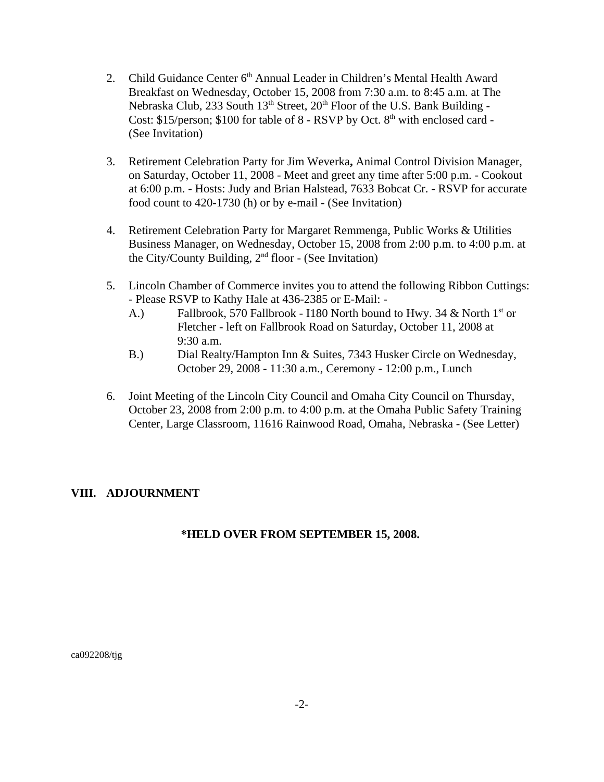- 2. Child Guidance Center 6<sup>th</sup> Annual Leader in Children's Mental Health Award Breakfast on Wednesday, October 15, 2008 from 7:30 a.m. to 8:45 a.m. at The Nebraska Club, 233 South  $13<sup>th</sup>$  Street,  $20<sup>th</sup>$  Floor of the U.S. Bank Building -Cost: \$15/person; \$100 for table of  $8$  - RSVP by Oct.  $8<sup>th</sup>$  with enclosed card -(See Invitation)
- 3. Retirement Celebration Party for Jim Weverka**,** Animal Control Division Manager, on Saturday, October 11, 2008 - Meet and greet any time after 5:00 p.m. - Cookout at 6:00 p.m. - Hosts: Judy and Brian Halstead, 7633 Bobcat Cr. - RSVP for accurate food count to 420-1730 (h) or by e-mail - (See Invitation)
- 4. Retirement Celebration Party for Margaret Remmenga, Public Works & Utilities Business Manager, on Wednesday, October 15, 2008 from 2:00 p.m. to 4:00 p.m. at the City/County Building,  $2<sup>nd</sup>$  floor - (See Invitation)
- 5. Lincoln Chamber of Commerce invites you to attend the following Ribbon Cuttings: - Please RSVP to Kathy Hale at 436-2385 or E-Mail: -
	- A.) Fallbrook, 570 Fallbrook I180 North bound to Hwy. 34 & North 1<sup>st</sup> or Fletcher - left on Fallbrook Road on Saturday, October 11, 2008 at 9:30 a.m.
	- B.) Dial Realty/Hampton Inn & Suites, 7343 Husker Circle on Wednesday, October 29, 2008 - 11:30 a.m., Ceremony - 12:00 p.m., Lunch
- 6. Joint Meeting of the Lincoln City Council and Omaha City Council on Thursday, October 23, 2008 from 2:00 p.m. to 4:00 p.m. at the Omaha Public Safety Training Center, Large Classroom, 11616 Rainwood Road, Omaha, Nebraska - (See Letter)

## **VIII. ADJOURNMENT**

## **\*HELD OVER FROM SEPTEMBER 15, 2008.**

ca092208/tjg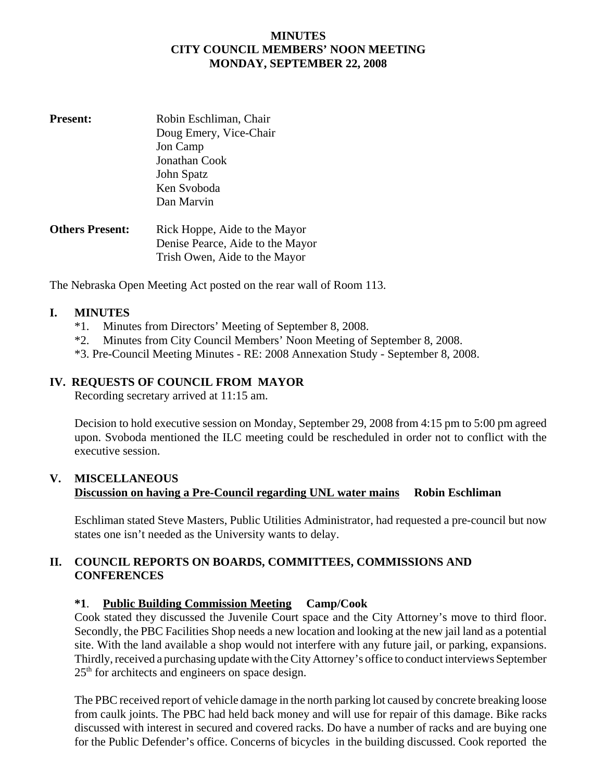### **MINUTES CITY COUNCIL MEMBERS' NOON MEETING MONDAY, SEPTEMBER 22, 2008**

| <b>Present:</b>        | Robin Eschliman, Chair           |
|------------------------|----------------------------------|
|                        | Doug Emery, Vice-Chair           |
|                        | Jon Camp                         |
|                        | Jonathan Cook                    |
|                        | John Spatz                       |
|                        | Ken Svoboda                      |
|                        | Dan Marvin                       |
| <b>Others Present:</b> | Rick Hoppe, Aide to the Mayor    |
|                        | Denise Pearce, Aide to the Mayor |
|                        | Trish Owen, Aide to the Mayor    |

The Nebraska Open Meeting Act posted on the rear wall of Room 113.

#### **I. MINUTES**

- \*1. Minutes from Directors' Meeting of September 8, 2008.
- \*2. Minutes from City Council Members' Noon Meeting of September 8, 2008.
- \*3. Pre-Council Meeting Minutes RE: 2008 Annexation Study September 8, 2008.

#### **IV. REQUESTS OF COUNCIL FROM MAYOR**

Recording secretary arrived at 11:15 am.

Decision to hold executive session on Monday, September 29, 2008 from 4:15 pm to 5:00 pm agreed upon. Svoboda mentioned the ILC meeting could be rescheduled in order not to conflict with the executive session.

#### **V. MISCELLANEOUS Discussion on having a Pre-Council regarding UNL water mains Robin Eschliman**

Eschliman stated Steve Masters, Public Utilities Administrator, had requested a pre-council but now states one isn't needed as the University wants to delay.

## **II. COUNCIL REPORTS ON BOARDS, COMMITTEES, COMMISSIONS AND CONFERENCES**

## **\*1**. **Public Building Commission Meeting Camp/Cook**

Cook stated they discussed the Juvenile Court space and the City Attorney's move to third floor. Secondly, the PBC Facilities Shop needs a new location and looking at the new jail land as a potential site. With the land available a shop would not interfere with any future jail, or parking, expansions. Thirdly, received a purchasing update with the City Attorney's office to conduct interviews September  $25<sup>th</sup>$  for architects and engineers on space design.

The PBC received report of vehicle damage in the north parking lot caused by concrete breaking loose from caulk joints. The PBC had held back money and will use for repair of this damage. Bike racks discussed with interest in secured and covered racks. Do have a number of racks and are buying one for the Public Defender's office. Concerns of bicycles in the building discussed. Cook reported the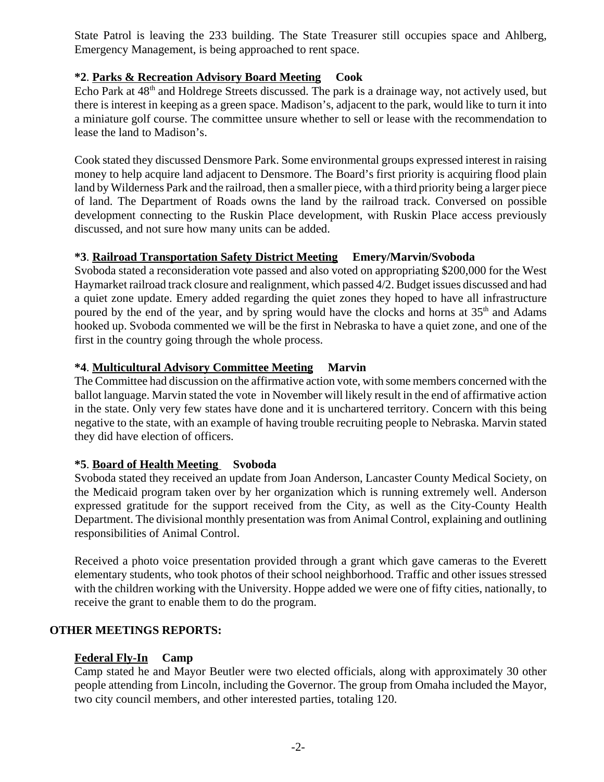State Patrol is leaving the 233 building. The State Treasurer still occupies space and Ahlberg, Emergency Management, is being approached to rent space.

## **\*2**. **Parks & Recreation Advisory Board Meeting Cook**

Echo Park at 48<sup>th</sup> and Holdrege Streets discussed. The park is a drainage way, not actively used, but there is interest in keeping as a green space. Madison's, adjacent to the park, would like to turn it into a miniature golf course. The committee unsure whether to sell or lease with the recommendation to lease the land to Madison's.

Cook stated they discussed Densmore Park. Some environmental groups expressed interest in raising money to help acquire land adjacent to Densmore. The Board's first priority is acquiring flood plain land by Wilderness Park and the railroad, then a smaller piece, with a third priority being a larger piece of land. The Department of Roads owns the land by the railroad track. Conversed on possible development connecting to the Ruskin Place development, with Ruskin Place access previously discussed, and not sure how many units can be added.

## **\*3**. **Railroad Transportation Safety District Meeting Emery/Marvin/Svoboda**

Svoboda stated a reconsideration vote passed and also voted on appropriating \$200,000 for the West Haymarket railroad track closure and realignment, which passed 4/2. Budget issues discussed and had a quiet zone update. Emery added regarding the quiet zones they hoped to have all infrastructure poured by the end of the year, and by spring would have the clocks and horns at 35<sup>th</sup> and Adams hooked up. Svoboda commented we will be the first in Nebraska to have a quiet zone, and one of the first in the country going through the whole process.

## **\*4**. **Multicultural Advisory Committee Meeting Marvin**

The Committee had discussion on the affirmative action vote, with some members concerned with the ballot language. Marvin stated the vote in November will likely result in the end of affirmative action in the state. Only very few states have done and it is unchartered territory. Concern with this being negative to the state, with an example of having trouble recruiting people to Nebraska. Marvin stated they did have election of officers.

# **\*5**. **Board of Health Meeting Svoboda**

Svoboda stated they received an update from Joan Anderson, Lancaster County Medical Society, on the Medicaid program taken over by her organization which is running extremely well. Anderson expressed gratitude for the support received from the City, as well as the City-County Health Department. The divisional monthly presentation was from Animal Control, explaining and outlining responsibilities of Animal Control.

Received a photo voice presentation provided through a grant which gave cameras to the Everett elementary students, who took photos of their school neighborhood. Traffic and other issues stressed with the children working with the University. Hoppe added we were one of fifty cities, nationally, to receive the grant to enable them to do the program.

# **OTHER MEETINGS REPORTS:**

## **Federal Fly-In Camp**

Camp stated he and Mayor Beutler were two elected officials, along with approximately 30 other people attending from Lincoln, including the Governor. The group from Omaha included the Mayor, two city council members, and other interested parties, totaling 120.